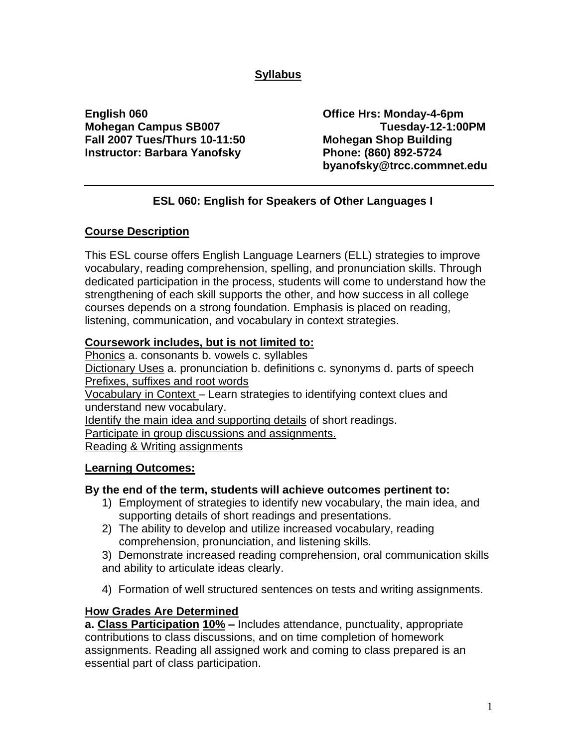# **Syllabus**

**English 060 Office Hrs: Monday-4-6pm Fall 2007 Tues/Thurs 10-11:50 Mohegan Shop Building Instructor: Barbara Yanofsky Phone: (860) 892-5724**

**Mohegan Campus SB007 Tuesday-12-1:00PM byanofsky@trcc.commnet.edu**

# **ESL 060: English for Speakers of Other Languages I**

## **Course Description**

This ESL course offers English Language Learners (ELL) strategies to improve vocabulary, reading comprehension, spelling, and pronunciation skills. Through dedicated participation in the process, students will come to understand how the strengthening of each skill supports the other, and how success in all college courses depends on a strong foundation. Emphasis is placed on reading, listening, communication, and vocabulary in context strategies.

## **Coursework includes, but is not limited to:**

Phonics a. consonants b. vowels c. syllables Dictionary Uses a. pronunciation b. definitions c. synonyms d. parts of speech Prefixes, suffixes and root words

Vocabulary in Context – Learn strategies to identifying context clues and understand new vocabulary.

Identify the main idea and supporting details of short readings.

Participate in group discussions and assignments.

Reading & Writing assignments

## **Learning Outcomes:**

## **By the end of the term, students will achieve outcomes pertinent to:**

- 1) Employment of strategies to identify new vocabulary, the main idea, and supporting details of short readings and presentations.
- 2) The ability to develop and utilize increased vocabulary, reading comprehension, pronunciation, and listening skills.
- 3) Demonstrate increased reading comprehension, oral communication skills and ability to articulate ideas clearly.
- 4) Formation of well structured sentences on tests and writing assignments.

## **How Grades Are Determined**

**a. Class Participation 10% –** Includes attendance, punctuality, appropriate contributions to class discussions, and on time completion of homework assignments. Reading all assigned work and coming to class prepared is an essential part of class participation.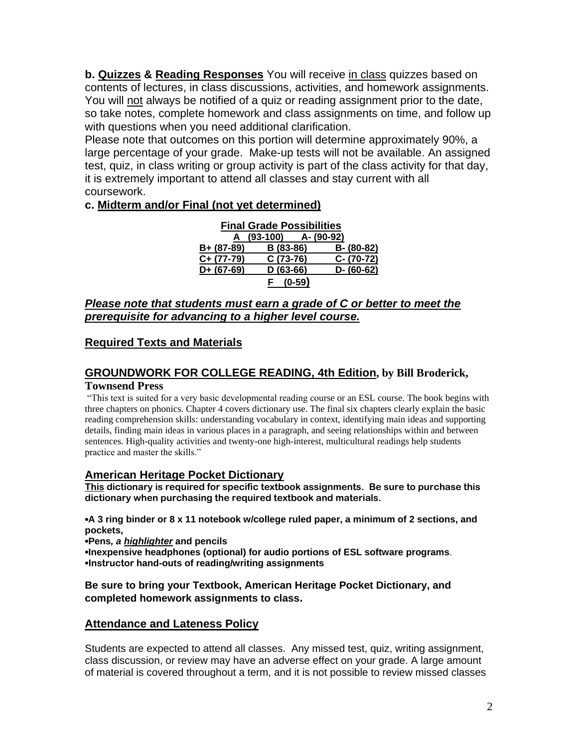**b. Quizzes & Reading Responses** You will receive in class quizzes based on contents of lectures, in class discussions, activities, and homework assignments. You will not always be notified of a quiz or reading assignment prior to the date, so take notes, complete homework and class assignments on time, and follow up with questions when you need additional clarification.

Please note that outcomes on this portion will determine approximately 90%, a large percentage of your grade. Make-up tests will not be available. An assigned test, quiz, in class writing or group activity is part of the class activity for that day, it is extremely important to attend all classes and stay current with all coursework.

## **c. Midterm and/or Final (not yet determined)**

| <b>Final Grade Possibilities</b> |          |            |            |               |
|----------------------------------|----------|------------|------------|---------------|
| A                                | (93-100) |            | A- (90-92) |               |
| $B + (87 - 89)$                  |          | B (83-86)  |            | B- (80-82)    |
| $C+ (77-79)$                     |          | $C(73-76)$ |            | $C - (70-72)$ |
| $D+ (67-69)$                     |          | $D(63-66)$ |            | $D - (60-62)$ |
|                                  |          | $(0-59)$   |            |               |

#### *Please note that students must earn a grade of C or better to meet the prerequisite for advancing to a higher level course.*

## **Required Texts and Materials**

#### **GROUNDWORK FOR COLLEGE READING, 4th Edition, by Bill Broderick, Townsend Press**

"This text is suited for a very basic developmental reading course or an ESL course. The book begins with three chapters on phonics. Chapter 4 covers dictionary use. The final six chapters clearly explain the basic reading comprehension skills: understanding vocabulary in context, identifying main ideas and supporting details, finding main ideas in various places in a paragraph, and seeing relationships within and between sentences. High-quality activities and twenty-one high-interest, multicultural readings help students practice and master the skills."

## **American Heritage Pocket Dictionary**

**This dictionary is required for specific textbook assignments. Be sure to purchase this dictionary when purchasing the required textbook and materials.** 

**•A 3 ring binder or 8 x 11 notebook w/college ruled paper, a minimum of 2 sections, and pockets,**

**•Pens***, a highlighter* **and pencils •Inexpensive headphones (optional) for audio portions of ESL software programs**. **•Instructor hand-outs of reading/writing assignments**

#### **Be sure to bring your Textbook, American Heritage Pocket Dictionary, and completed homework assignments to class.**

## **Attendance and Lateness Policy**

Students are expected to attend all classes. Any missed test, quiz, writing assignment, class discussion, or review may have an adverse effect on your grade. A large amount of material is covered throughout a term, and it is not possible to review missed classes